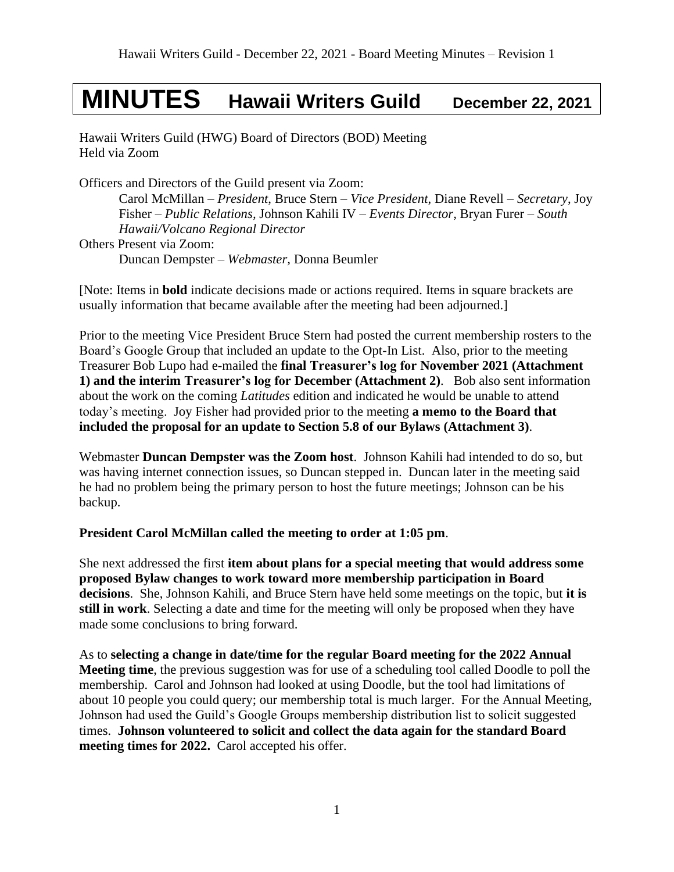# **MINUTES Hawaii Writers Guild December 22, 2021**

Hawaii Writers Guild (HWG) Board of Directors (BOD) Meeting Held via Zoom

Officers and Directors of the Guild present via Zoom:

Carol McMillan – *President*, Bruce Stern – *Vice President*, Diane Revell – *Secretary*, Joy Fisher – *Public Relations,* Johnson Kahili IV – *Events Director,* Bryan Furer – *South Hawaii/Volcano Regional Director* Others Present via Zoom: Duncan Dempster – *Webmaster,* Donna Beumler

[Note: Items in **bold** indicate decisions made or actions required. Items in square brackets are usually information that became available after the meeting had been adjourned.]

Prior to the meeting Vice President Bruce Stern had posted the current membership rosters to the Board's Google Group that included an update to the Opt-In List. Also, prior to the meeting Treasurer Bob Lupo had e-mailed the **final Treasurer's log for November 2021 (Attachment 1) and the interim Treasurer's log for December (Attachment 2)**. Bob also sent information about the work on the coming *Latitudes* edition and indicated he would be unable to attend today's meeting. Joy Fisher had provided prior to the meeting **a memo to the Board that included the proposal for an update to Section 5.8 of our Bylaws (Attachment 3)**.

Webmaster **Duncan Dempster was the Zoom host**. Johnson Kahili had intended to do so, but was having internet connection issues, so Duncan stepped in. Duncan later in the meeting said he had no problem being the primary person to host the future meetings; Johnson can be his backup.

## **President Carol McMillan called the meeting to order at 1:05 pm**.

She next addressed the first **item about plans for a special meeting that would address some proposed Bylaw changes to work toward more membership participation in Board decisions**. She, Johnson Kahili, and Bruce Stern have held some meetings on the topic, but **it is still in work**. Selecting a date and time for the meeting will only be proposed when they have made some conclusions to bring forward.

As to **selecting a change in date/time for the regular Board meeting for the 2022 Annual Meeting time**, the previous suggestion was for use of a scheduling tool called Doodle to poll the membership. Carol and Johnson had looked at using Doodle, but the tool had limitations of about 10 people you could query; our membership total is much larger. For the Annual Meeting, Johnson had used the Guild's Google Groups membership distribution list to solicit suggested times. **Johnson volunteered to solicit and collect the data again for the standard Board meeting times for 2022.** Carol accepted his offer.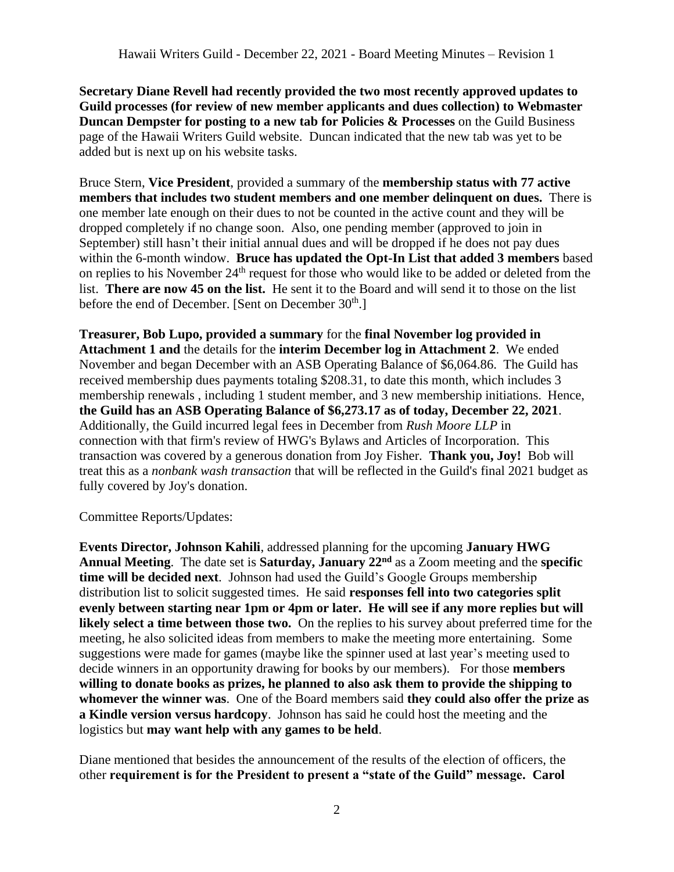**Secretary Diane Revell had recently provided the two most recently approved updates to Guild processes (for review of new member applicants and dues collection) to Webmaster Duncan Dempster for posting to a new tab for Policies & Processes** on the Guild Business page of the Hawaii Writers Guild website. Duncan indicated that the new tab was yet to be added but is next up on his website tasks.

Bruce Stern, **Vice President**, provided a summary of the **membership status with 77 active members that includes two student members and one member delinquent on dues.** There is one member late enough on their dues to not be counted in the active count and they will be dropped completely if no change soon. Also, one pending member (approved to join in September) still hasn't their initial annual dues and will be dropped if he does not pay dues within the 6-month window. **Bruce has updated the Opt-In List that added 3 members** based on replies to his November 24<sup>th</sup> request for those who would like to be added or deleted from the list. **There are now 45 on the list.** He sent it to the Board and will send it to those on the list before the end of December. [Sent on December  $30<sup>th</sup>$ .]

**Treasurer, Bob Lupo, provided a summary** for the **final November log provided in Attachment 1 and** the details for the **interim December log in Attachment 2**. We ended November and began December with an ASB Operating Balance of \$6,064.86. The Guild has received membership dues payments totaling \$208.31, to date this month, which includes 3 membership renewals , including 1 student member, and 3 new membership initiations. Hence, **the Guild has an ASB Operating Balance of \$6,273.17 as of today, December 22, 2021**. Additionally, the Guild incurred legal fees in December from *Rush Moore LLP* in connection with that firm's review of HWG's Bylaws and Articles of Incorporation. This transaction was covered by a generous donation from Joy Fisher. **Thank you, Joy!** Bob will treat this as a *nonbank wash transaction* that will be reflected in the Guild's final 2021 budget as fully covered by Joy's donation.

Committee Reports/Updates:

**Events Director, Johnson Kahili**, addressed planning for the upcoming **January HWG Annual Meeting**. The date set is **Saturday, January 22nd** as a Zoom meeting and the **specific time will be decided next**. Johnson had used the Guild's Google Groups membership distribution list to solicit suggested times. He said **responses fell into two categories split evenly between starting near 1pm or 4pm or later. He will see if any more replies but will likely select a time between those two.** On the replies to his survey about preferred time for the meeting, he also solicited ideas from members to make the meeting more entertaining. Some suggestions were made for games (maybe like the spinner used at last year's meeting used to decide winners in an opportunity drawing for books by our members). For those **members willing to donate books as prizes, he planned to also ask them to provide the shipping to whomever the winner was**. One of the Board members said **they could also offer the prize as a Kindle version versus hardcopy**. Johnson has said he could host the meeting and the logistics but **may want help with any games to be held**.

Diane mentioned that besides the announcement of the results of the election of officers, the other **requirement is for the President to present a "state of the Guild" message. Carol**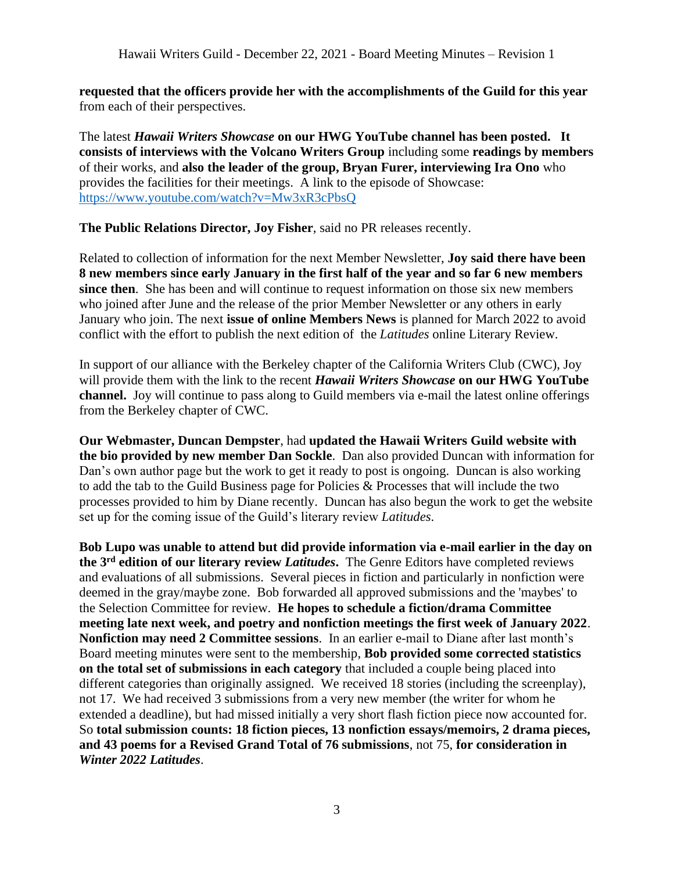**requested that the officers provide her with the accomplishments of the Guild for this year** from each of their perspectives.

The latest *Hawaii Writers Showcase* **on our HWG YouTube channel has been posted. It consists of interviews with the Volcano Writers Group** including some **readings by members**  of their works, and **also the leader of the group, Bryan Furer, interviewing Ira Ono** who provides the facilities for their meetings. A link to the episode of Showcase: <https://www.youtube.com/watch?v=Mw3xR3cPbsQ>

**The Public Relations Director, Joy Fisher**, said no PR releases recently.

Related to collection of information for the next Member Newsletter, **Joy said there have been 8 new members since early January in the first half of the year and so far 6 new members since then**. She has been and will continue to request information on those six new members who joined after June and the release of the prior Member Newsletter or any others in early January who join. The next **issue of online Members News** is planned for March 2022 to avoid conflict with the effort to publish the next edition of the *Latitudes* online Literary Review.

In support of our alliance with the Berkeley chapter of the California Writers Club (CWC), Joy will provide them with the link to the recent *Hawaii Writers Showcase* **on our HWG YouTube channel.** Joy will continue to pass along to Guild members via e-mail the latest online offerings from the Berkeley chapter of CWC.

**Our Webmaster, Duncan Dempster**, had **updated the Hawaii Writers Guild website with the bio provided by new member Dan Sockle**. Dan also provided Duncan with information for Dan's own author page but the work to get it ready to post is ongoing. Duncan is also working to add the tab to the Guild Business page for Policies & Processes that will include the two processes provided to him by Diane recently. Duncan has also begun the work to get the website set up for the coming issue of the Guild's literary review *Latitudes*.

**Bob Lupo was unable to attend but did provide information via e-mail earlier in the day on the 3 rd edition of our literary review** *Latitudes***.** The Genre Editors have completed reviews and evaluations of all submissions. Several pieces in fiction and particularly in nonfiction were deemed in the gray/maybe zone. Bob forwarded all approved submissions and the 'maybes' to the Selection Committee for review. **He hopes to schedule a fiction/drama Committee meeting late next week, and poetry and nonfiction meetings the first week of January 2022**. **Nonfiction may need 2 Committee sessions**. In an earlier e-mail to Diane after last month's Board meeting minutes were sent to the membership, **Bob provided some corrected statistics on the total set of submissions in each category** that included a couple being placed into different categories than originally assigned. We received 18 stories (including the screenplay), not 17. We had received 3 submissions from a very new member (the writer for whom he extended a deadline), but had missed initially a very short flash fiction piece now accounted for. So **total submission counts: 18 fiction pieces, 13 nonfiction essays/memoirs, 2 drama pieces, and 43 poems for a Revised Grand Total of 76 submissions**, not 75, **for consideration in** *Winter 2022 Latitudes*.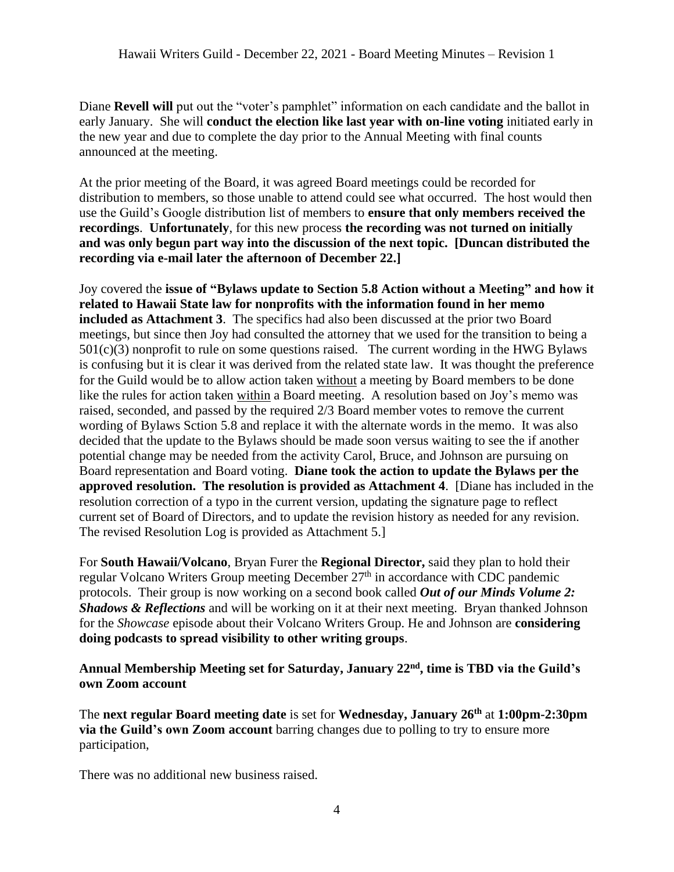Diane **Revell will** put out the "voter's pamphlet" information on each candidate and the ballot in early January. She will **conduct the election like last year with on-line voting** initiated early in the new year and due to complete the day prior to the Annual Meeting with final counts announced at the meeting.

At the prior meeting of the Board, it was agreed Board meetings could be recorded for distribution to members, so those unable to attend could see what occurred. The host would then use the Guild's Google distribution list of members to **ensure that only members received the recordings**. **Unfortunately**, for this new process **the recording was not turned on initially and was only begun part way into the discussion of the next topic. [Duncan distributed the recording via e-mail later the afternoon of December 22.]**

Joy covered the **issue of "Bylaws update to Section 5.8 Action without a Meeting" and how it related to Hawaii State law for nonprofits with the information found in her memo included as Attachment 3**. The specifics had also been discussed at the prior two Board meetings, but since then Joy had consulted the attorney that we used for the transition to being a 501(c)(3) nonprofit to rule on some questions raised. The current wording in the HWG Bylaws is confusing but it is clear it was derived from the related state law. It was thought the preference for the Guild would be to allow action taken without a meeting by Board members to be done like the rules for action taken within a Board meeting. A resolution based on Joy's memo was raised, seconded, and passed by the required 2/3 Board member votes to remove the current wording of Bylaws Sction 5.8 and replace it with the alternate words in the memo. It was also decided that the update to the Bylaws should be made soon versus waiting to see the if another potential change may be needed from the activity Carol, Bruce, and Johnson are pursuing on Board representation and Board voting. **Diane took the action to update the Bylaws per the approved resolution. The resolution is provided as Attachment 4**. [Diane has included in the resolution correction of a typo in the current version, updating the signature page to reflect current set of Board of Directors, and to update the revision history as needed for any revision. The revised Resolution Log is provided as Attachment 5.]

For **South Hawaii/Volcano**, Bryan Furer the **Regional Director,** said they plan to hold their regular Volcano Writers Group meeting December 27<sup>th</sup> in accordance with CDC pandemic protocols. Their group is now working on a second book called *Out of our Minds Volume 2: Shadows & Reflections* and will be working on it at their next meeting. Bryan thanked Johnson for the *Showcase* episode about their Volcano Writers Group. He and Johnson are **considering doing podcasts to spread visibility to other writing groups**.

#### **Annual Membership Meeting set for Saturday, January 22nd, time is TBD via the Guild's own Zoom account**

The **next regular Board meeting date** is set for **Wednesday, January 26 th** at **1:00pm-2:30pm via the Guild's own Zoom account** barring changes due to polling to try to ensure more participation,

There was no additional new business raised.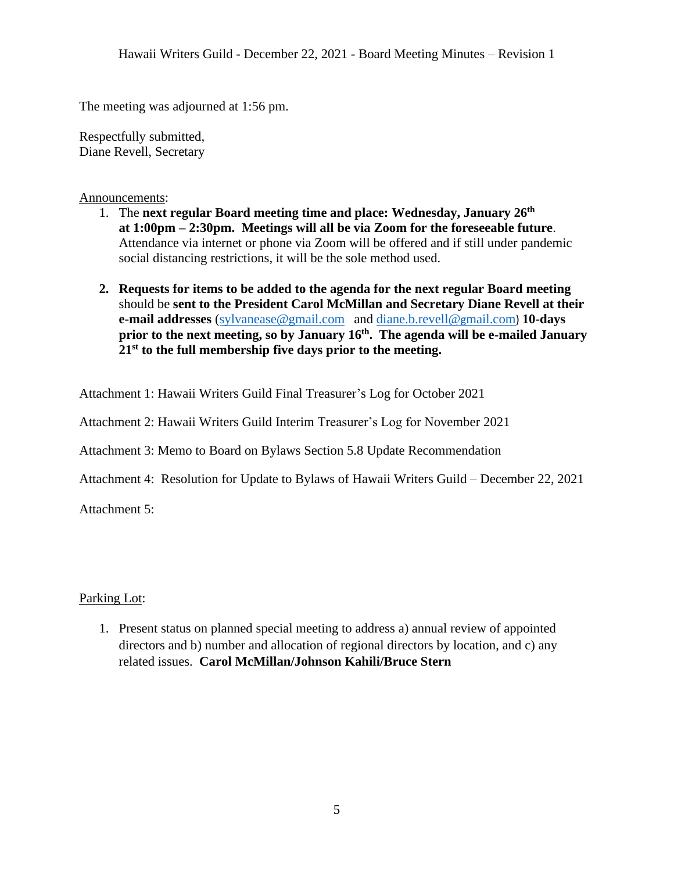The meeting was adjourned at 1:56 pm.

Respectfully submitted, Diane Revell, Secretary

Announcements:

- 1. The **next regular Board meeting time and place: Wednesday, January 26 th at 1:00pm – 2:30pm. Meetings will all be via Zoom for the foreseeable future**. Attendance via internet or phone via Zoom will be offered and if still under pandemic social distancing restrictions, it will be the sole method used.
- **2. Requests for items to be added to the agenda for the next regular Board meeting** should be **sent to the President Carol McMillan and Secretary Diane Revell at their e-mail addresses** [\(sylvanease@gmail.com](mailto:sylvanease@gmail.com) and [diane.b.revell@](mailto:diane.b.revell@gmail.com)gmail.com) **10-days prior to the next meeting, so by January 16 th . The agenda will be e-mailed January 21st to the full membership five days prior to the meeting.**

Attachment 1: Hawaii Writers Guild Final Treasurer's Log for October 2021

Attachment 2: Hawaii Writers Guild Interim Treasurer's Log for November 2021

Attachment 3: Memo to Board on Bylaws Section 5.8 Update Recommendation

Attachment 4: Resolution for Update to Bylaws of Hawaii Writers Guild – December 22, 2021

Attachment 5:

Parking Lot:

1. Present status on planned special meeting to address a) annual review of appointed directors and b) number and allocation of regional directors by location, and c) any related issues. **Carol McMillan/Johnson Kahili/Bruce Stern**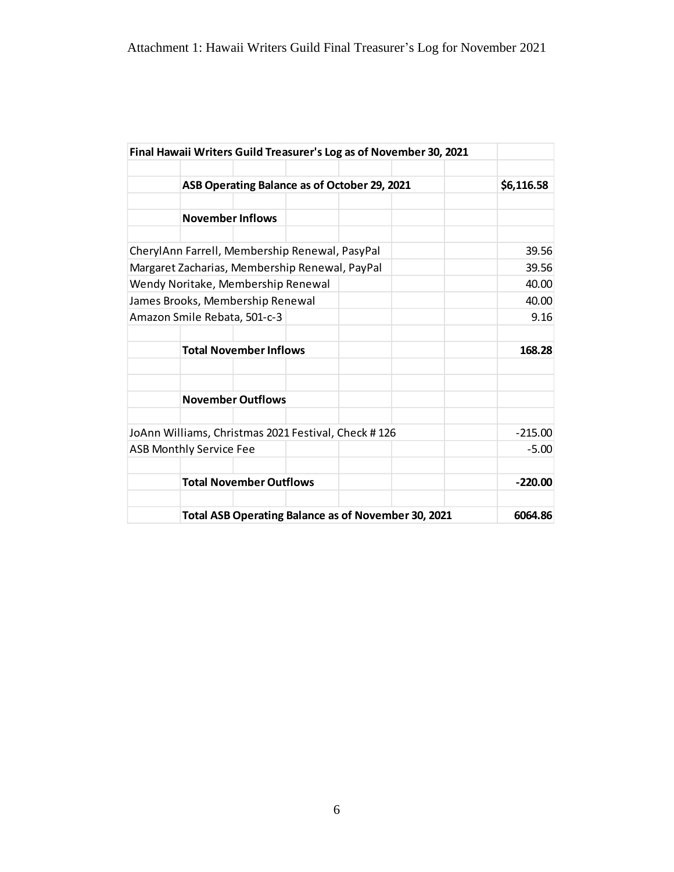|                                                |                                                     |  |            |       | Final Hawaii Writers Guild Treasurer's Log as of November 30, 2021 |           |
|------------------------------------------------|-----------------------------------------------------|--|------------|-------|--------------------------------------------------------------------|-----------|
|                                                |                                                     |  |            |       |                                                                    |           |
|                                                | ASB Operating Balance as of October 29, 2021        |  | \$6,116.58 |       |                                                                    |           |
|                                                |                                                     |  |            |       |                                                                    |           |
|                                                | <b>November Inflows</b>                             |  |            |       |                                                                    |           |
|                                                |                                                     |  |            |       |                                                                    |           |
| CherylAnn Farrell, Membership Renewal, PasyPal |                                                     |  |            |       | 39.56                                                              |           |
| Margaret Zacharias, Membership Renewal, PayPal |                                                     |  |            |       | 39.56                                                              |           |
| Wendy Noritake, Membership Renewal             |                                                     |  |            | 40.00 |                                                                    |           |
| James Brooks, Membership Renewal               |                                                     |  |            | 40.00 |                                                                    |           |
| Amazon Smile Rebata, 501-c-3                   |                                                     |  |            |       |                                                                    | 9.16      |
|                                                |                                                     |  |            |       |                                                                    |           |
|                                                | <b>Total November Inflows</b>                       |  |            |       |                                                                    | 168.28    |
|                                                |                                                     |  |            |       |                                                                    |           |
|                                                | <b>November Outflows</b>                            |  |            |       |                                                                    |           |
|                                                |                                                     |  |            |       |                                                                    |           |
|                                                | JoAnn Williams, Christmas 2021 Festival, Check #126 |  |            |       |                                                                    | $-215.00$ |
|                                                | <b>ASB Monthly Service Fee</b>                      |  |            |       |                                                                    | $-5.00$   |
|                                                |                                                     |  |            |       |                                                                    |           |
|                                                | <b>Total November Outflows</b>                      |  |            |       |                                                                    | $-220.00$ |
|                                                |                                                     |  |            |       | Total ASB Operating Balance as of November 30, 2021                | 6064.86   |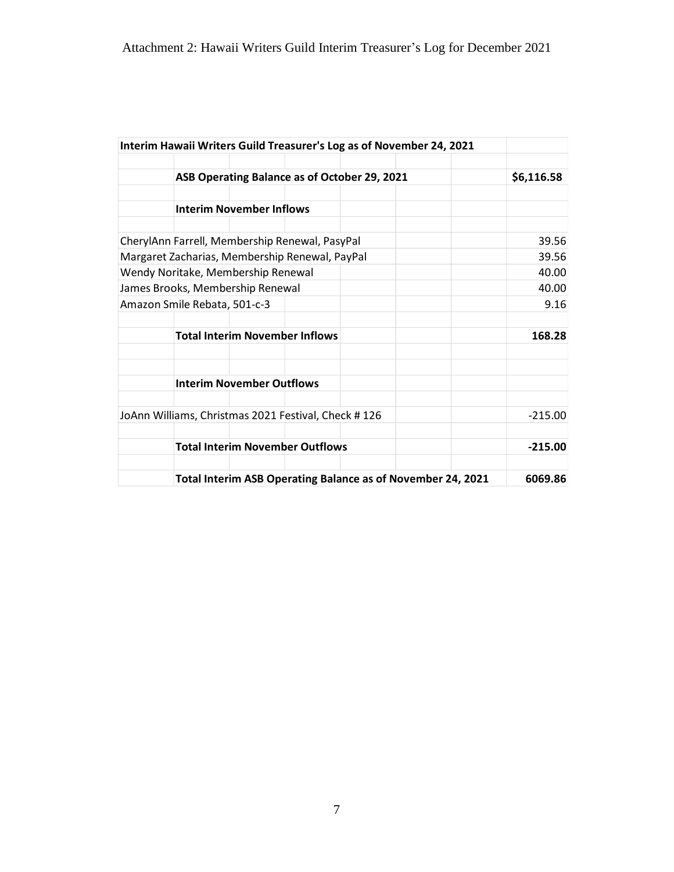|                                                | Interim Hawaii Writers Guild Treasurer's Log as of November 24, 2021 |            |
|------------------------------------------------|----------------------------------------------------------------------|------------|
|                                                |                                                                      |            |
|                                                | ASB Operating Balance as of October 29, 2021                         | \$6,116.58 |
|                                                |                                                                      |            |
|                                                | <b>Interim November Inflows</b>                                      |            |
|                                                | CherylAnn Farrell, Membership Renewal, PasyPal                       | 39.56      |
| Margaret Zacharias, Membership Renewal, PayPal | 39.56                                                                |            |
| Wendy Noritake, Membership Renewal             | 40.00                                                                |            |
| James Brooks, Membership Renewal               | 40.00                                                                |            |
|                                                | Amazon Smile Rebata, 501-c-3                                         | 9.16       |
|                                                | <b>Total Interim November Inflows</b>                                | 168.28     |
|                                                |                                                                      |            |
|                                                | <b>Interim November Outflows</b>                                     |            |
|                                                | JoAnn Williams, Christmas 2021 Festival, Check #126                  | $-215.00$  |
|                                                | <b>Total Interim November Outflows</b>                               | $-215.00$  |
|                                                | Total Interim ASB Operating Balance as of November 24, 2021          | 6069.86    |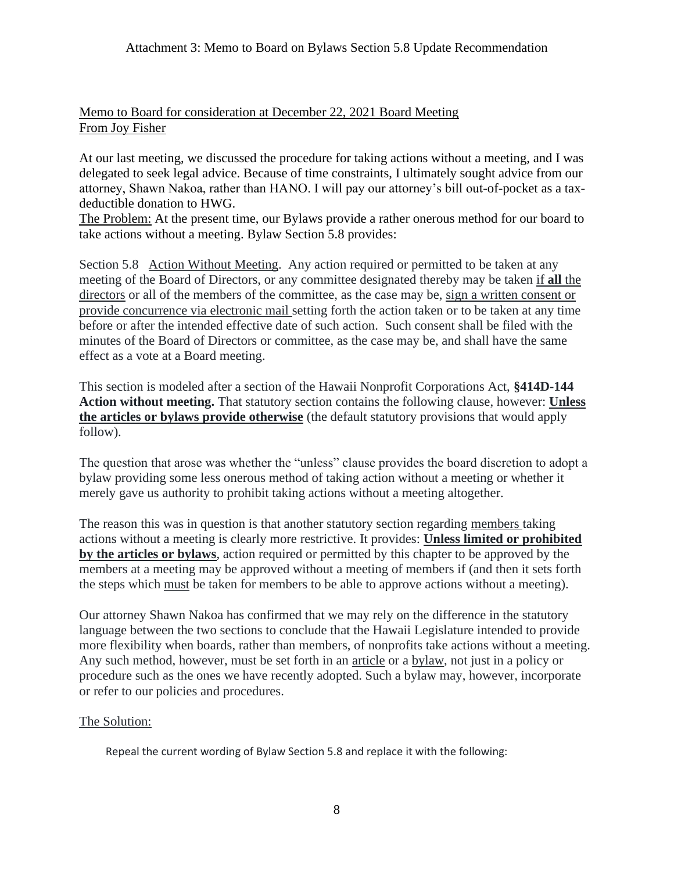## Memo to Board for consideration at December 22, 2021 Board Meeting From Joy Fisher

At our last meeting, we discussed the procedure for taking actions without a meeting, and I was delegated to seek legal advice. Because of time constraints, I ultimately sought advice from our attorney, Shawn Nakoa, rather than HANO. I will pay our attorney's bill out-of-pocket as a taxdeductible donation to HWG.

The Problem: At the present time, our Bylaws provide a rather onerous method for our board to take actions without a meeting. Bylaw Section 5.8 provides:

Section 5.8 Action Without Meeting. Any action required or permitted to be taken at any meeting of the Board of Directors, or any committee designated thereby may be taken if **all** the directors or all of the members of the committee, as the case may be, sign a written consent or provide concurrence via electronic mail setting forth the action taken or to be taken at any time before or after the intended effective date of such action. Such consent shall be filed with the minutes of the Board of Directors or committee, as the case may be, and shall have the same effect as a vote at a Board meeting.

This section is modeled after a section of the Hawaii Nonprofit Corporations Act, **§414D-144 Action without meeting.** That statutory section contains the following clause, however: **Unless the articles or bylaws provide otherwise** (the default statutory provisions that would apply follow).

The question that arose was whether the "unless" clause provides the board discretion to adopt a bylaw providing some less onerous method of taking action without a meeting or whether it merely gave us authority to prohibit taking actions without a meeting altogether.

The reason this was in question is that another statutory section regarding members taking actions without a meeting is clearly more restrictive. It provides: **Unless limited or prohibited by the articles or bylaws**, action required or permitted by this chapter to be approved by the members at a meeting may be approved without a meeting of members if (and then it sets forth the steps which must be taken for members to be able to approve actions without a meeting).

Our attorney Shawn Nakoa has confirmed that we may rely on the difference in the statutory language between the two sections to conclude that the Hawaii Legislature intended to provide more flexibility when boards, rather than members, of nonprofits take actions without a meeting. Any such method, however, must be set forth in an article or a bylaw, not just in a policy or procedure such as the ones we have recently adopted. Such a bylaw may, however, incorporate or refer to our policies and procedures.

## The Solution:

Repeal the current wording of Bylaw Section 5.8 and replace it with the following: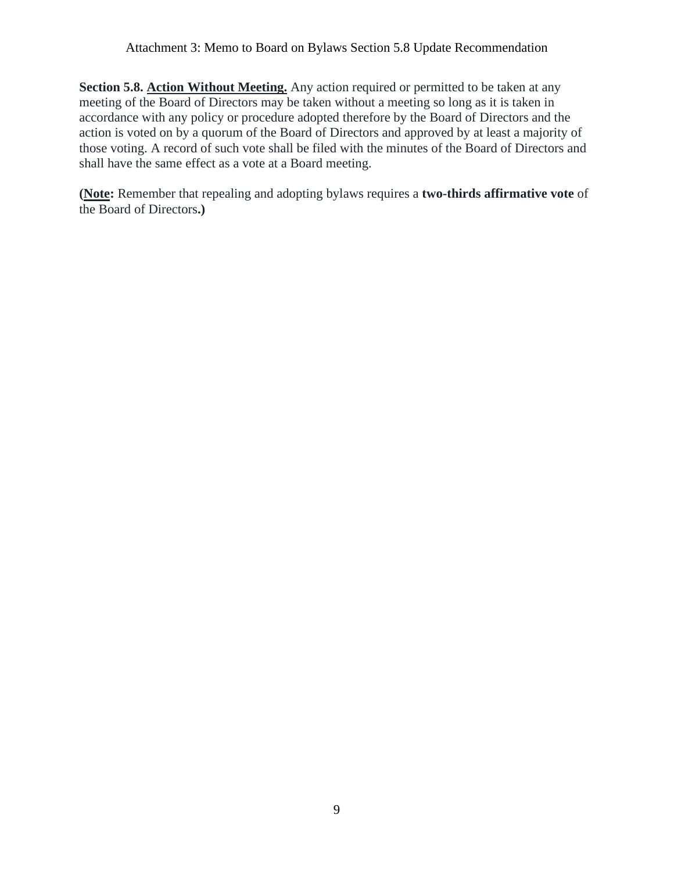#### Attachment 3: Memo to Board on Bylaws Section 5.8 Update Recommendation

**Section 5.8. Action Without Meeting.** Any action required or permitted to be taken at any meeting of the Board of Directors may be taken without a meeting so long as it is taken in accordance with any policy or procedure adopted therefore by the Board of Directors and the action is voted on by a quorum of the Board of Directors and approved by at least a majority of those voting. A record of such vote shall be filed with the minutes of the Board of Directors and shall have the same effect as a vote at a Board meeting.

**(Note:** Remember that repealing and adopting bylaws requires a **two-thirds affirmative vote** of the Board of Directors**.)**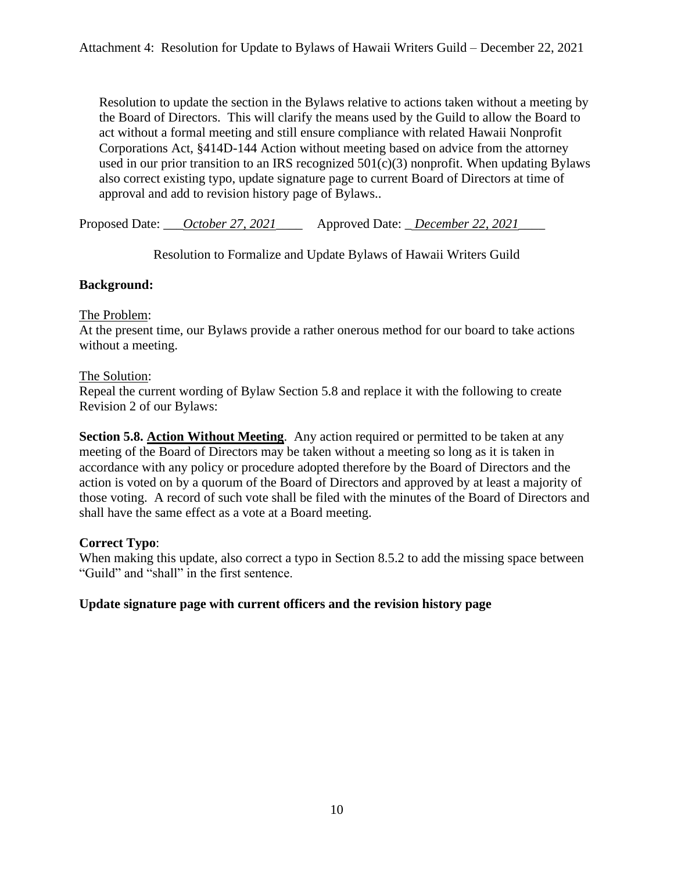Resolution to update the section in the Bylaws relative to actions taken without a meeting by the Board of Directors. This will clarify the means used by the Guild to allow the Board to act without a formal meeting and still ensure compliance with related Hawaii Nonprofit Corporations Act, §414D-144 Action without meeting based on advice from the attorney used in our prior transition to an IRS recognized  $501(c)(3)$  nonprofit. When updating Bylaws also correct existing typo, update signature page to current Board of Directors at time of approval and add to revision history page of Bylaws..

Proposed Date: \_\_\_*October 27, 2021*\_\_\_\_ Approved Date: \_ *December 22, 2021*\_\_\_\_

Resolution to Formalize and Update Bylaws of Hawaii Writers Guild

## **Background:**

#### The Problem:

At the present time, our Bylaws provide a rather onerous method for our board to take actions without a meeting.

#### The Solution:

Repeal the current wording of Bylaw Section 5.8 and replace it with the following to create Revision 2 of our Bylaws:

**Section 5.8. Action Without Meeting.** Any action required or permitted to be taken at any meeting of the Board of Directors may be taken without a meeting so long as it is taken in accordance with any policy or procedure adopted therefore by the Board of Directors and the action is voted on by a quorum of the Board of Directors and approved by at least a majority of those voting. A record of such vote shall be filed with the minutes of the Board of Directors and shall have the same effect as a vote at a Board meeting.

## **Correct Typo**:

When making this update, also correct a typo in Section 8.5.2 to add the missing space between "Guild" and "shall" in the first sentence.

#### **Update signature page with current officers and the revision history page**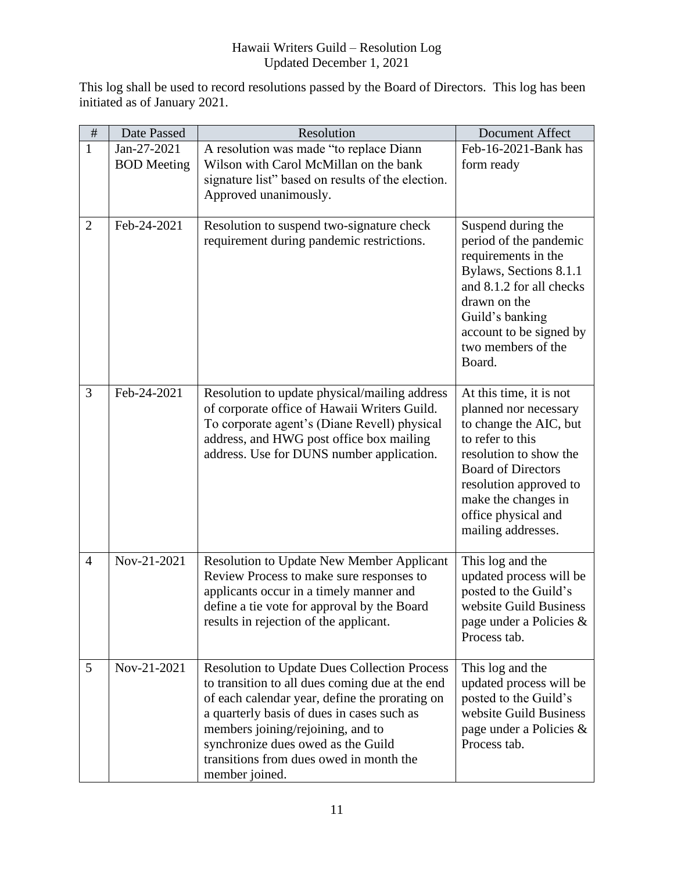## Hawaii Writers Guild – Resolution Log Updated December 1, 2021

This log shall be used to record resolutions passed by the Board of Directors. This log has been initiated as of January 2021.

| $\#$           | Date Passed                       | Resolution                                                                                                                                                                                                                                                                                                                                     | Document Affect                                                                                                                                                                                                                                     |
|----------------|-----------------------------------|------------------------------------------------------------------------------------------------------------------------------------------------------------------------------------------------------------------------------------------------------------------------------------------------------------------------------------------------|-----------------------------------------------------------------------------------------------------------------------------------------------------------------------------------------------------------------------------------------------------|
| $\mathbf{1}$   | Jan-27-2021<br><b>BOD</b> Meeting | A resolution was made "to replace Diann<br>Wilson with Carol McMillan on the bank<br>signature list" based on results of the election.<br>Approved unanimously.                                                                                                                                                                                | Feb-16-2021-Bank has<br>form ready                                                                                                                                                                                                                  |
| $\overline{2}$ | Feb-24-2021                       | Resolution to suspend two-signature check<br>requirement during pandemic restrictions.                                                                                                                                                                                                                                                         | Suspend during the<br>period of the pandemic<br>requirements in the<br>Bylaws, Sections 8.1.1<br>and 8.1.2 for all checks<br>drawn on the<br>Guild's banking<br>account to be signed by<br>two members of the<br>Board.                             |
| 3              | Feb-24-2021                       | Resolution to update physical/mailing address<br>of corporate office of Hawaii Writers Guild.<br>To corporate agent's (Diane Revell) physical<br>address, and HWG post office box mailing<br>address. Use for DUNS number application.                                                                                                         | At this time, it is not<br>planned nor necessary<br>to change the AIC, but<br>to refer to this<br>resolution to show the<br><b>Board of Directors</b><br>resolution approved to<br>make the changes in<br>office physical and<br>mailing addresses. |
| $\overline{4}$ | Nov-21-2021                       | Resolution to Update New Member Applicant<br>Review Process to make sure responses to<br>applicants occur in a timely manner and<br>define a tie vote for approval by the Board<br>results in rejection of the applicant.                                                                                                                      | This log and the<br>updated process will be<br>posted to the Guild's<br>website Guild Business<br>page under a Policies &<br>Process tab.                                                                                                           |
| 5              | Nov-21-2021                       | <b>Resolution to Update Dues Collection Process</b><br>to transition to all dues coming due at the end<br>of each calendar year, define the prorating on<br>a quarterly basis of dues in cases such as<br>members joining/rejoining, and to<br>synchronize dues owed as the Guild<br>transitions from dues owed in month the<br>member joined. | This log and the<br>updated process will be<br>posted to the Guild's<br>website Guild Business<br>page under a Policies $\&$<br>Process tab.                                                                                                        |